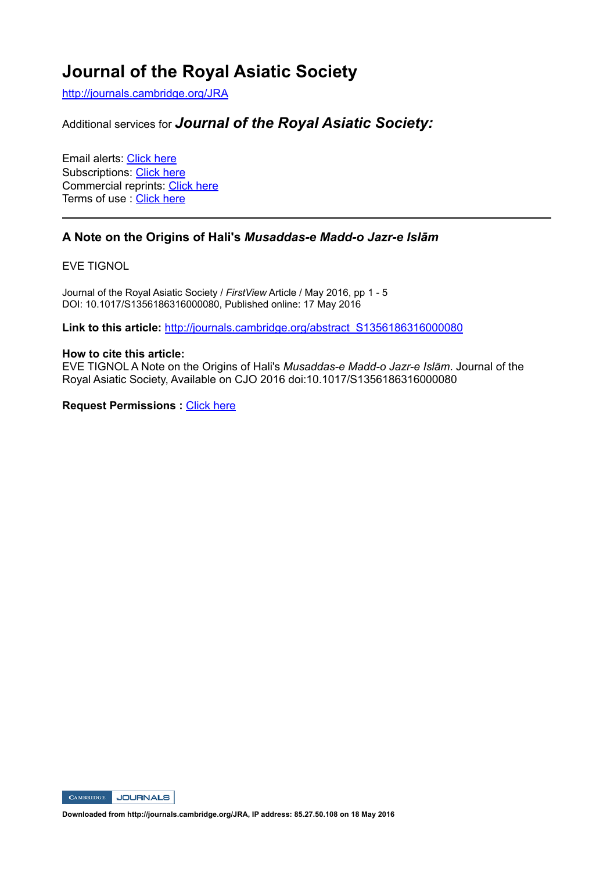## **Journal of the Royal Asiatic Society**

http://journals.cambridge.org/JRA

### Additional services for *Journal of the Royal Asiatic Society:*

Email alerts: Click here Subscriptions: Click here Commercial reprints: Click here Terms of use : Click here

#### **A Note on the Origins of Hali's** *Musaddas-e Madd-o Jazr-e Islām*

EVE TIGNOL

Journal of the Royal Asiatic Society / *FirstView* Article / May 2016, pp 1 - 5 DOI: 10.1017/S1356186316000080, Published online: 17 May 2016

Link to this article: http://journals.cambridge.org/abstract\_S1356186316000080

#### **How to cite this article:**

EVE TIGNOL A Note on the Origins of Hali's *Musaddas-e Madd-o Jazr-e Islām*. Journal of the Royal Asiatic Society, Available on CJO 2016 doi:10.1017/S1356186316000080

**Request Permissions :** Click here

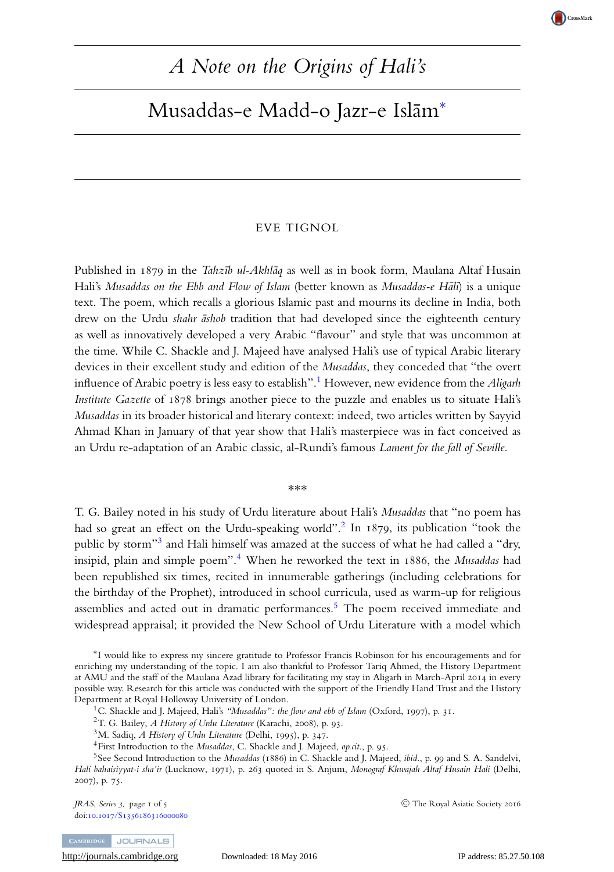# *A Note on the Origins of Hali's*

# Musaddas-e Madd-o Jazr-e Islām<sup>\*</sup>

#### EVE TIGNOL

Published in 1879 in the *Tahzīb ul-Akhlāa* as well as in book form, Maulana Altaf Husain Hali's *Musaddas on the Ebb and Flow of Islam* (better known as *Musaddas-e Hali*) is a unique text. The poem, which recalls a glorious Islamic past and mourns its decline in India, both drew on the Urdu *shahr*  $\bar{a}$ *shob* tradition that had developed since the eighteenth century as well as innovatively developed a very Arabic "flavour" and style that was uncommon at the time. While C. Shackle and J. Majeed have analysed Hali's use of typical Arabic literary devices in their excellent study and edition of the *Musaddas*, they conceded that "the overt influence of Arabic poetry is less easy to establish".1 However, new evidence from the *Aligarh Institute Gazette* of 1878 brings another piece to the puzzle and enables us to situate Hali's *Musaddas* in its broader historical and literary context: indeed, two articles written by Sayyid Ahmad Khan in January of that year show that Hali's masterpiece was in fact conceived as an Urdu re-adaptation of an Arabic classic, al-Rundi's famous *Lament for the fall of Seville*.

∗∗∗

T. G. Bailey noted in his study of Urdu literature about Hali's *Musaddas* that "no poem has had so great an effect on the Urdu-speaking world".<sup>2</sup> In 1879, its publication "took the public by storm"3 and Hali himself was amazed at the success of what he had called a "dry, insipid, plain and simple poem".4 When he reworked the text in 1886, the *Musaddas* had been republished six times, recited in innumerable gatherings (including celebrations for the birthday of the Prophet), introduced in school curricula, used as warm-up for religious assemblies and acted out in dramatic performances.5 The poem received immediate and widespread appraisal; it provided the New School of Urdu Literature with a model which

∗I would like to express my sincere gratitude to Professor Francis Robinson for his encouragements and for enriching my understanding of the topic. I am also thankful to Professor Tariq Ahmed, the History Department at AMU and the staff of the Maulana Azad library for facilitating my stay in Aligarh in March-April 2014 in every possible way. Research for this article was conducted with the support of the Friendly Hand Trust and the History Department at Royal Holloway University of London.

1C. Shackle and J. Majeed, Hali's *"Musaddas": the flow and ebb of Islam* (Oxford, 1997), p. 31.

2T. G. Bailey, *A History of Urdu Literature* (Karachi, 2008), p. 93.

3M. Sadiq, *A History of Urdu Literature* (Delhi, 1995), p. 347.

4First Introduction to the *Musaddas*, C. Shackle and J. Majeed, *op.cit*., p. 95.

5See Second Introduction to the *Musaddas* (1886) in C. Shackle and J. Majeed, *ibid*., p. 99 and S. A. Sandelvi, *Hali bahaisiyyat-i sha'ir* (Lucknow, 1971), p. 263 quoted in S. Anjum, *Monograf Khwajah Altaf Husain Hali* (Delhi, 2007), p. 75.

doi:10.1017/S[1356186316000080](http://dx.doi.org/10.1017/S1356186316000080)

*JRAS*, *Series 3*, page 1 of 5 C The Royal Asiatic Society 2016



<http://journals.cambridge.org> Downloaded: 18 May 2016 IP address: 85.27.50.108

CrossMark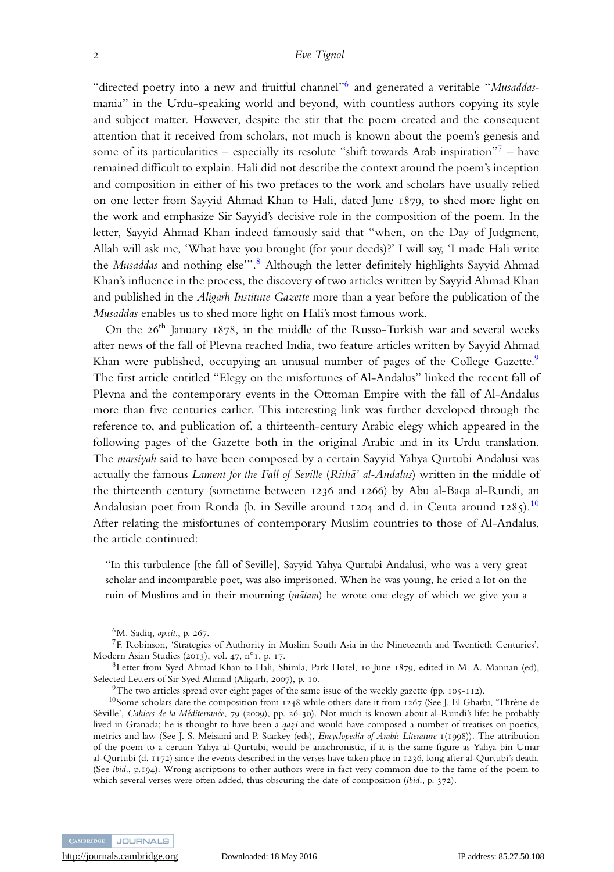"directed poetry into a new and fruitful channel"6 and generated a veritable "*Musaddas*mania" in the Urdu-speaking world and beyond, with countless authors copying its style and subject matter. However, despite the stir that the poem created and the consequent attention that it received from scholars, not much is known about the poem's genesis and some of its particularities – especially its resolute "shift towards Arab inspiration" $7$  – have remained difficult to explain. Hali did not describe the context around the poem's inception and composition in either of his two prefaces to the work and scholars have usually relied on one letter from Sayyid Ahmad Khan to Hali, dated June 1879, to shed more light on the work and emphasize Sir Sayyid's decisive role in the composition of the poem. In the letter, Sayyid Ahmad Khan indeed famously said that "when, on the Day of Judgment, Allah will ask me, 'What have you brought (for your deeds)?' I will say, 'I made Hali write the *Musaddas* and nothing else"".<sup>8</sup> Although the letter definitely highlights Sayyid Ahmad Khan's influence in the process, the discovery of two articles written by Sayyid Ahmad Khan and published in the *Aligarh Institute Gazette* more than a year before the publication of the *Musaddas* enables us to shed more light on Hali's most famous work.

On the 26th January 1878, in the middle of the Russo-Turkish war and several weeks after news of the fall of Plevna reached India, two feature articles written by Sayyid Ahmad Khan were published, occupying an unusual number of pages of the College Gazette.<sup>9</sup> The first article entitled "Elegy on the misfortunes of Al-Andalus" linked the recent fall of Plevna and the contemporary events in the Ottoman Empire with the fall of Al-Andalus more than five centuries earlier. This interesting link was further developed through the reference to, and publication of, a thirteenth-century Arabic elegy which appeared in the following pages of the Gazette both in the original Arabic and in its Urdu translation. The *marsiyah* said to have been composed by a certain Sayyid Yahya Qurtubi Andalusi was actually the famous *Lament for the Fall of Seville* (*Ritha' al-Andalus*) written in the middle of the thirteenth century (sometime between 1236 and 1266) by Abu al-Baqa al-Rundi, an Andalusian poet from Ronda (b. in Seville around 1204 and d. in Ceuta around 1285).<sup>10</sup> After relating the misfortunes of contemporary Muslim countries to those of Al-Andalus, the article continued:

"In this turbulence [the fall of Seville], Sayyid Yahya Qurtubi Andalusi, who was a very great scholar and incomparable poet, was also imprisoned. When he was young, he cried a lot on the ruin of Muslims and in their mourning *(matam)* he wrote one elegy of which we give you a

6M. Sadiq, *op.cit*., p. 267.

7F. Robinson, 'Strategies of Authority in Muslim South Asia in the Nineteenth and Twentieth Centuries', Modern Asian Studies (2013), vol. 47, n°1, p. 17.

8Letter from Syed Ahmad Khan to Hali, Shimla, Park Hotel, 10 June 1879, edited in M. A. Mannan (ed), Selected Letters of Sir Syed Ahmad (Aligarh, 2007), p. 10.

<sup>9</sup>The two articles spread over eight pages of the same issue of the weekly gazette (pp. 105-112).

<sup>10</sup>Some scholars date the composition from 1248 while others date it from 1267 (See J. El Gharbi, 'Thrène de Séville', *Cahiers de la Méditerranée*, 79 (2009), pp. 26-30). Not much is known about al-Rundi's life: he probably lived in Granada; he is thought to have been a *qazi* and would have composed a number of treatises on poetics, metrics and law (See J. S. Meisami and P. Starkey (eds), *Encyclopedia of Arabic Literature* 1(1998)). The attribution of the poem to a certain Yahya al-Qurtubi, would be anachronistic, if it is the same figure as Yahya bin Umar al-Qurtubi (d. 1172) since the events described in the verses have taken place in 1236, long after al-Qurtubi's death. (See *ibid*., p.194). Wrong ascriptions to other authors were in fact very common due to the fame of the poem to which several verses were often added, thus obscuring the date of composition (*ibid*., p. 372).

 $CAMBRIDGE$ **JOURNALS** 

<http://journals.cambridge.org> Downloaded: 18 May 2016 IP address: 85.27.50.108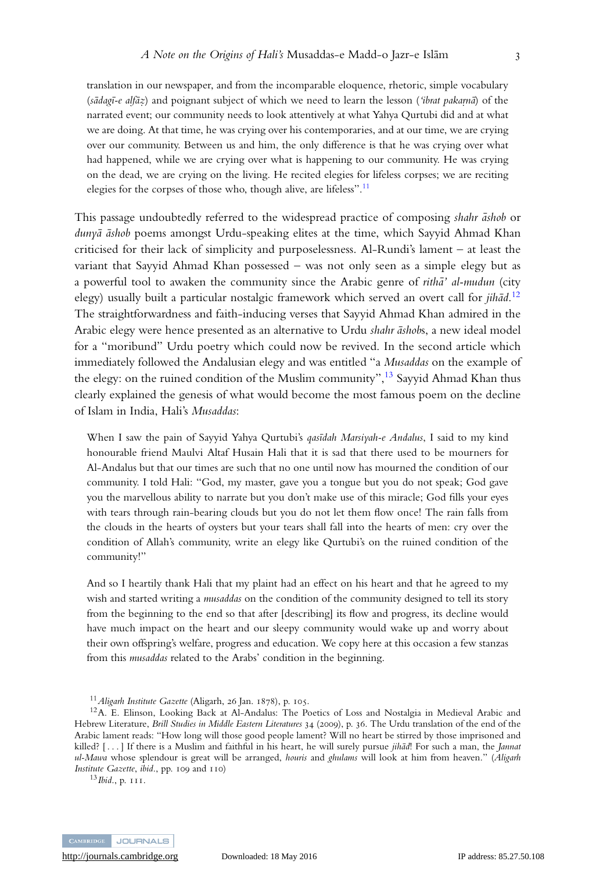translation in our newspaper, and from the incomparable eloquence, rhetoric, simple vocabulary (sādagī-e alfāz) and poignant subject of which we need to learn the lesson (*'ibrat pakarnā*) of the narrated event; our community needs to look attentively at what Yahya Qurtubi did and at what we are doing. At that time, he was crying over his contemporaries, and at our time, we are crying over our community. Between us and him, the only difference is that he was crying over what had happened, while we are crying over what is happening to our community. He was crying on the dead, we are crying on the living. He recited elegies for lifeless corpses; we are reciting elegies for the corpses of those who, though alive, are lifeless".11

This passage undoubtedly referred to the widespread practice of composing *shahr ashob* or *dunyā āshob* poems amongst Urdu-speaking elites at the time, which Sayyid Ahmad Khan criticised for their lack of simplicity and purposelessness. Al-Rundi's lament – at least the variant that Sayyid Ahmad Khan possessed – was not only seen as a simple elegy but as a powerful tool to awaken the community since the Arabic genre of *ritha' al-mudun* (city elegy) usually built a particular nostalgic framework which served an overt call for *jihād*.<sup>12</sup> The straightforwardness and faith-inducing verses that Sayyid Ahmad Khan admired in the Arabic elegy were hence presented as an alternative to Urdu *shahr āshobs*, a new ideal model for a "moribund" Urdu poetry which could now be revived. In the second article which immediately followed the Andalusian elegy and was entitled "a *Musaddas* on the example of the elegy: on the ruined condition of the Muslim community",<sup>13</sup> Sayyid Ahmad Khan thus clearly explained the genesis of what would become the most famous poem on the decline of Islam in India, Hali's *Musaddas*:

When I saw the pain of Sayyid Yahya Qurtubi's *qas¯ıdah Marsiyah-e Andalus*, I said to my kind honourable friend Maulvi Altaf Husain Hali that it is sad that there used to be mourners for Al-Andalus but that our times are such that no one until now has mourned the condition of our community. I told Hali: "God, my master, gave you a tongue but you do not speak; God gave you the marvellous ability to narrate but you don't make use of this miracle; God fills your eyes with tears through rain-bearing clouds but you do not let them flow once! The rain falls from the clouds in the hearts of oysters but your tears shall fall into the hearts of men: cry over the condition of Allah's community, write an elegy like Qurtubi's on the ruined condition of the community!"

And so I heartily thank Hali that my plaint had an effect on his heart and that he agreed to my wish and started writing a *musaddas* on the condition of the community designed to tell its story from the beginning to the end so that after [describing] its flow and progress, its decline would have much impact on the heart and our sleepy community would wake up and worry about their own offspring's welfare, progress and education. We copy here at this occasion a few stanzas from this *musaddas* related to the Arabs' condition in the beginning.

12A. E. Elinson, Looking Back at Al-Andalus: The Poetics of Loss and Nostalgia in Medieval Arabic and Hebrew Literature, *Brill Studies in Middle Eastern Literatures* 34 (2009), p. 36. The Urdu translation of the end of the Arabic lament reads: "How long will those good people lament? Will no heart be stirred by those imprisoned and killed? [...] If there is a Muslim and faithful in his heart, he will surely pursue *jihad*! For such a man, the *Jannat ul-Mawa* whose splendour is great will be arranged, *houris* and *ghulams* will look at him from heaven." (*Aligarh Institute Gazette*, *ibid*., pp. 109 and 110)

<sup>13</sup>*Ibid*., p. 111.



<sup>11</sup>*Aligarh Institute Gazette* (Aligarh, 26 Jan. 1878), p. 105.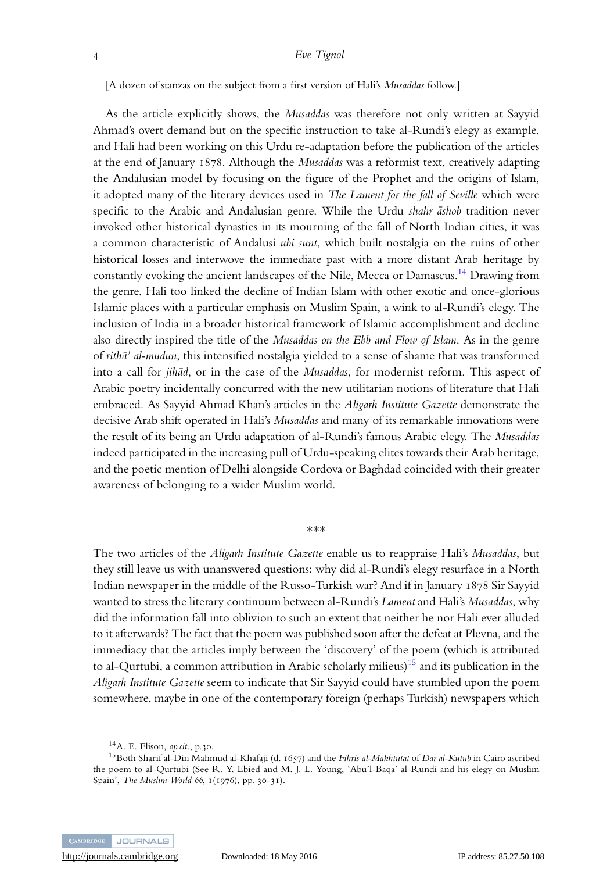[A dozen of stanzas on the subject from a first version of Hali's *Musaddas* follow.]

As the article explicitly shows, the *Musaddas* was therefore not only written at Sayyid Ahmad's overt demand but on the specific instruction to take al-Rundi's elegy as example, and Hali had been working on this Urdu re-adaptation before the publication of the articles at the end of January 1878. Although the *Musaddas* was a reformist text, creatively adapting the Andalusian model by focusing on the figure of the Prophet and the origins of Islam, it adopted many of the literary devices used in *The Lament for the fall of Seville* which were specific to the Arabic and Andalusian genre. While the Urdu *shahr āshob* tradition never invoked other historical dynasties in its mourning of the fall of North Indian cities, it was a common characteristic of Andalusi *ubi sunt*, which built nostalgia on the ruins of other historical losses and interwove the immediate past with a more distant Arab heritage by constantly evoking the ancient landscapes of the Nile, Mecca or Damascus.14 Drawing from the genre, Hali too linked the decline of Indian Islam with other exotic and once-glorious Islamic places with a particular emphasis on Muslim Spain, a wink to al-Rundi's elegy. The inclusion of India in a broader historical framework of Islamic accomplishment and decline also directly inspired the title of the *Musaddas on the Ebb and Flow of Islam*. As in the genre of *ritha' al-mudun*, this intensified nostalgia yielded to a sense of shame that was transformed into a call for *jihad*, or in the case of the *Musaddas*, for modernist reform. This aspect of Arabic poetry incidentally concurred with the new utilitarian notions of literature that Hali embraced. As Sayyid Ahmad Khan's articles in the *Aligarh Institute Gazette* demonstrate the decisive Arab shift operated in Hali's *Musaddas* and many of its remarkable innovations were the result of its being an Urdu adaptation of al-Rundi's famous Arabic elegy. The *Musaddas* indeed participated in the increasing pull of Urdu-speaking elites towards their Arab heritage, and the poetic mention of Delhi alongside Cordova or Baghdad coincided with their greater awareness of belonging to a wider Muslim world.

The two articles of the *Aligarh Institute Gazette* enable us to reappraise Hali's *Musaddas*, but they still leave us with unanswered questions: why did al-Rundi's elegy resurface in a North Indian newspaper in the middle of the Russo-Turkish war? And if in January 1878 Sir Sayyid wanted to stress the literary continuum between al-Rundi's *Lament* and Hali's *Musaddas*, why did the information fall into oblivion to such an extent that neither he nor Hali ever alluded to it afterwards? The fact that the poem was published soon after the defeat at Plevna, and the immediacy that the articles imply between the 'discovery' of the poem (which is attributed to al-Qurtubi, a common attribution in Arabic scholarly milieus)<sup>15</sup> and its publication in the *Aligarh Institute Gazette* seem to indicate that Sir Sayyid could have stumbled upon the poem somewhere, maybe in one of the contemporary foreign (perhaps Turkish) newspapers which

∗∗∗



<http://journals.cambridge.org> Downloaded: 18 May 2016 IP address: 85.27.50.108

<sup>14</sup>A. E. Elison, *op.cit*., p.30.

<sup>15</sup>Both Sharif al-Din Mahmud al-Khafaji (d. 1657) and the *Fihris al-Makhtutat* of *Dar al-Kutub* in Cairo ascribed the poem to al-Qurtubi (See R. Y. Ebied and M. J. L. Young, 'Abu'l-Baqa' al-Rundi and his elegy on Muslim Spain', *The Muslim World 66*, 1(1976), pp. 30-31).